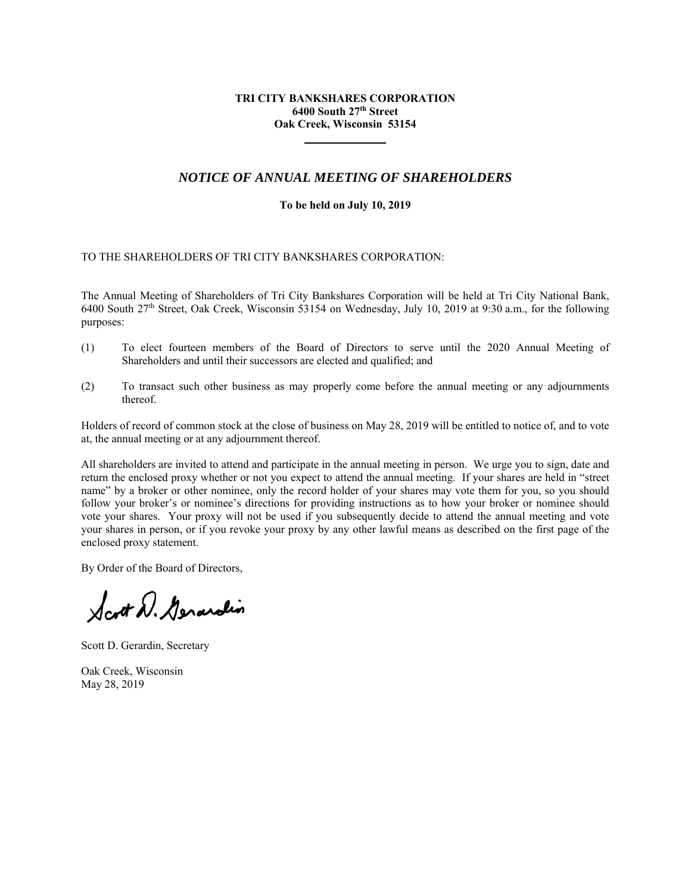## **TRI CITY BANKSHARES CORPORATION 6400 South 27th Street Oak Creek, Wisconsin 53154**

# *NOTICE OF ANNUAL MEETING OF SHAREHOLDERS*

#### **To be held on July 10, 2019**

## TO THE SHAREHOLDERS OF TRI CITY BANKSHARES CORPORATION:

The Annual Meeting of Shareholders of Tri City Bankshares Corporation will be held at Tri City National Bank, 6400 South 27th Street, Oak Creek, Wisconsin 53154 on Wednesday, July 10, 2019 at 9:30 a.m., for the following purposes:

- (1) To elect fourteen members of the Board of Directors to serve until the 2020 Annual Meeting of Shareholders and until their successors are elected and qualified; and
- (2) To transact such other business as may properly come before the annual meeting or any adjournments thereof.

Holders of record of common stock at the close of business on May 28, 2019 will be entitled to notice of, and to vote at, the annual meeting or at any adjournment thereof.

All shareholders are invited to attend and participate in the annual meeting in person. We urge you to sign, date and return the enclosed proxy whether or not you expect to attend the annual meeting. If your shares are held in "street name" by a broker or other nominee, only the record holder of your shares may vote them for you, so you should follow your broker's or nominee's directions for providing instructions as to how your broker or nominee should vote your shares. Your proxy will not be used if you subsequently decide to attend the annual meeting and vote your shares in person, or if you revoke your proxy by any other lawful means as described on the first page of the enclosed proxy statement.

By Order of the Board of Directors,

Scott D. Gerardin

Scott D. Gerardin, Secretary

Oak Creek, Wisconsin May 28, 2019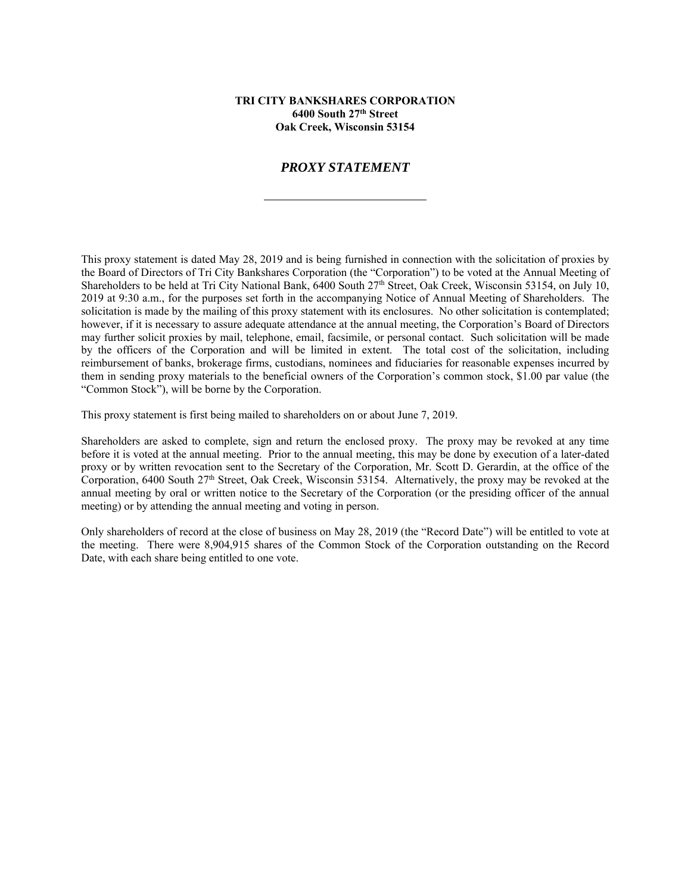#### **TRI CITY BANKSHARES CORPORATION 6400 South 27th Street Oak Creek, Wisconsin 53154**

# *PROXY STATEMENT*

This proxy statement is dated May 28, 2019 and is being furnished in connection with the solicitation of proxies by the Board of Directors of Tri City Bankshares Corporation (the "Corporation") to be voted at the Annual Meeting of Shareholders to be held at Tri City National Bank, 6400 South 27<sup>th</sup> Street, Oak Creek, Wisconsin 53154, on July 10, 2019 at 9:30 a.m., for the purposes set forth in the accompanying Notice of Annual Meeting of Shareholders. The solicitation is made by the mailing of this proxy statement with its enclosures. No other solicitation is contemplated; however, if it is necessary to assure adequate attendance at the annual meeting, the Corporation's Board of Directors may further solicit proxies by mail, telephone, email, facsimile, or personal contact. Such solicitation will be made by the officers of the Corporation and will be limited in extent. The total cost of the solicitation, including reimbursement of banks, brokerage firms, custodians, nominees and fiduciaries for reasonable expenses incurred by them in sending proxy materials to the beneficial owners of the Corporation's common stock, \$1.00 par value (the "Common Stock"), will be borne by the Corporation.

This proxy statement is first being mailed to shareholders on or about June 7, 2019.

Shareholders are asked to complete, sign and return the enclosed proxy. The proxy may be revoked at any time before it is voted at the annual meeting. Prior to the annual meeting, this may be done by execution of a later-dated proxy or by written revocation sent to the Secretary of the Corporation, Mr. Scott D. Gerardin, at the office of the Corporation, 6400 South 27th Street, Oak Creek, Wisconsin 53154. Alternatively, the proxy may be revoked at the annual meeting by oral or written notice to the Secretary of the Corporation (or the presiding officer of the annual meeting) or by attending the annual meeting and voting in person.

Only shareholders of record at the close of business on May 28, 2019 (the "Record Date") will be entitled to vote at the meeting. There were 8,904,915 shares of the Common Stock of the Corporation outstanding on the Record Date, with each share being entitled to one vote.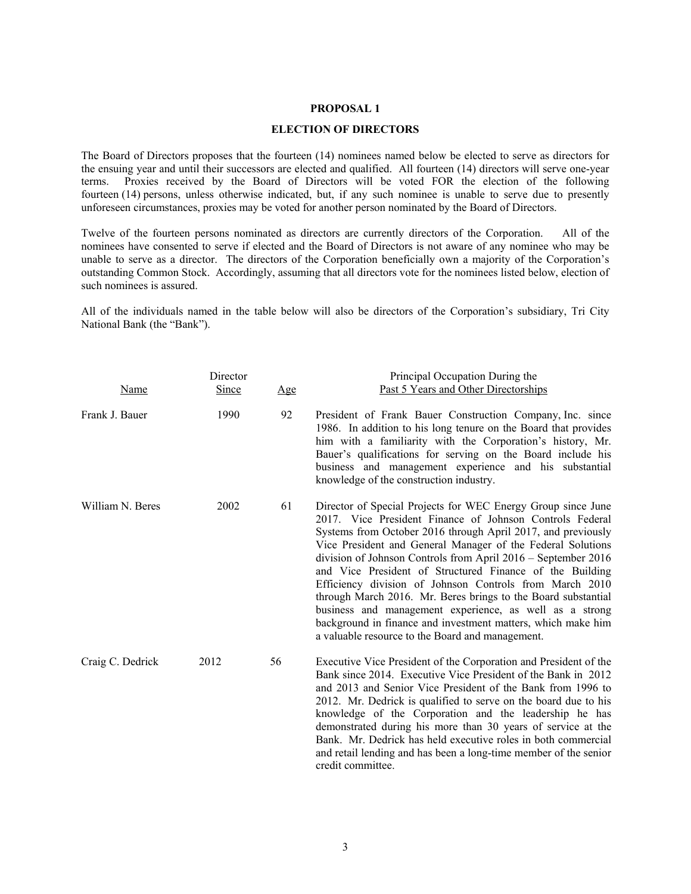#### **PROPOSAL 1**

# **ELECTION OF DIRECTORS**

The Board of Directors proposes that the fourteen (14) nominees named below be elected to serve as directors for the ensuing year and until their successors are elected and qualified. All fourteen (14) directors will serve one-year terms. Proxies received by the Board of Directors will be voted FOR the election of the following fourteen (14) persons, unless otherwise indicated, but, if any such nominee is unable to serve due to presently unforeseen circumstances, proxies may be voted for another person nominated by the Board of Directors.

Twelve of the fourteen persons nominated as directors are currently directors of the Corporation. All of the nominees have consented to serve if elected and the Board of Directors is not aware of any nominee who may be unable to serve as a director. The directors of the Corporation beneficially own a majority of the Corporation's outstanding Common Stock. Accordingly, assuming that all directors vote for the nominees listed below, election of such nominees is assured.

All of the individuals named in the table below will also be directors of the Corporation's subsidiary, Tri City National Bank (the "Bank").

| Name             | Director<br>Since | Age | Principal Occupation During the<br>Past 5 Years and Other Directorships                                                                                                                                                                                                                                                                                                                                                                                                                                                                                                                                                                                                                         |
|------------------|-------------------|-----|-------------------------------------------------------------------------------------------------------------------------------------------------------------------------------------------------------------------------------------------------------------------------------------------------------------------------------------------------------------------------------------------------------------------------------------------------------------------------------------------------------------------------------------------------------------------------------------------------------------------------------------------------------------------------------------------------|
| Frank J. Bauer   | 1990              | 92  | President of Frank Bauer Construction Company, Inc. since<br>1986. In addition to his long tenure on the Board that provides<br>him with a familiarity with the Corporation's history, Mr.<br>Bauer's qualifications for serving on the Board include his<br>business and management experience and his substantial<br>knowledge of the construction industry.                                                                                                                                                                                                                                                                                                                                  |
| William N. Beres | 2002              | 61  | Director of Special Projects for WEC Energy Group since June<br>2017. Vice President Finance of Johnson Controls Federal<br>Systems from October 2016 through April 2017, and previously<br>Vice President and General Manager of the Federal Solutions<br>division of Johnson Controls from April 2016 - September 2016<br>and Vice President of Structured Finance of the Building<br>Efficiency division of Johnson Controls from March 2010<br>through March 2016. Mr. Beres brings to the Board substantial<br>business and management experience, as well as a strong<br>background in finance and investment matters, which make him<br>a valuable resource to the Board and management. |
| Craig C. Dedrick | 2012              | 56  | Executive Vice President of the Corporation and President of the<br>Bank since 2014. Executive Vice President of the Bank in 2012<br>and 2013 and Senior Vice President of the Bank from 1996 to<br>2012. Mr. Dedrick is qualified to serve on the board due to his<br>knowledge of the Corporation and the leadership he has<br>demonstrated during his more than 30 years of service at the<br>Bank. Mr. Dedrick has held executive roles in both commercial<br>and retail lending and has been a long-time member of the senior<br>credit committee.                                                                                                                                         |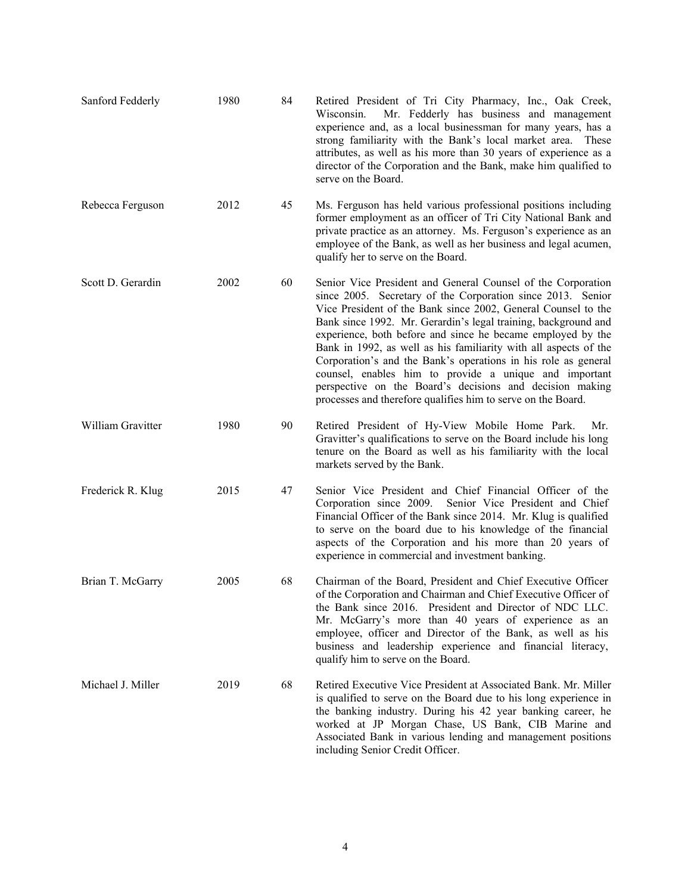| Sanford Fedderly  | 1980 | 84 | Retired President of Tri City Pharmacy, Inc., Oak Creek,<br>Mr. Fedderly has business and management<br>Wisconsin.<br>experience and, as a local businessman for many years, has a<br>strong familiarity with the Bank's local market area.<br>These<br>attributes, as well as his more than 30 years of experience as a<br>director of the Corporation and the Bank, make him qualified to<br>serve on the Board.                                                                                                                                                                                                                                        |
|-------------------|------|----|-----------------------------------------------------------------------------------------------------------------------------------------------------------------------------------------------------------------------------------------------------------------------------------------------------------------------------------------------------------------------------------------------------------------------------------------------------------------------------------------------------------------------------------------------------------------------------------------------------------------------------------------------------------|
| Rebecca Ferguson  | 2012 | 45 | Ms. Ferguson has held various professional positions including<br>former employment as an officer of Tri City National Bank and<br>private practice as an attorney. Ms. Ferguson's experience as an<br>employee of the Bank, as well as her business and legal acumen,<br>qualify her to serve on the Board.                                                                                                                                                                                                                                                                                                                                              |
| Scott D. Gerardin | 2002 | 60 | Senior Vice President and General Counsel of the Corporation<br>since 2005. Secretary of the Corporation since 2013. Senior<br>Vice President of the Bank since 2002, General Counsel to the<br>Bank since 1992. Mr. Gerardin's legal training, background and<br>experience, both before and since he became employed by the<br>Bank in 1992, as well as his familiarity with all aspects of the<br>Corporation's and the Bank's operations in his role as general<br>counsel, enables him to provide a unique and important<br>perspective on the Board's decisions and decision making<br>processes and therefore qualifies him to serve on the Board. |
| William Gravitter | 1980 | 90 | Retired President of Hy-View Mobile Home Park.<br>Mr.<br>Gravitter's qualifications to serve on the Board include his long<br>tenure on the Board as well as his familiarity with the local<br>markets served by the Bank.                                                                                                                                                                                                                                                                                                                                                                                                                                |
| Frederick R. Klug | 2015 | 47 | Senior Vice President and Chief Financial Officer of the<br>Corporation since 2009.<br>Senior Vice President and Chief<br>Financial Officer of the Bank since 2014. Mr. Klug is qualified<br>to serve on the board due to his knowledge of the financial<br>aspects of the Corporation and his more than 20 years of<br>experience in commercial and investment banking.                                                                                                                                                                                                                                                                                  |
| Brian T. McGarry  | 2005 | 68 | Chairman of the Board, President and Chief Executive Officer<br>of the Corporation and Chairman and Chief Executive Officer of<br>the Bank since 2016. President and Director of NDC LLC.<br>Mr. McGarry's more than 40 years of experience as an<br>employee, officer and Director of the Bank, as well as his<br>business and leadership experience and financial literacy,<br>qualify him to serve on the Board.                                                                                                                                                                                                                                       |
| Michael J. Miller | 2019 | 68 | Retired Executive Vice President at Associated Bank. Mr. Miller<br>is qualified to serve on the Board due to his long experience in<br>the banking industry. During his 42 year banking career, he<br>worked at JP Morgan Chase, US Bank, CIB Marine and<br>Associated Bank in various lending and management positions<br>including Senior Credit Officer.                                                                                                                                                                                                                                                                                               |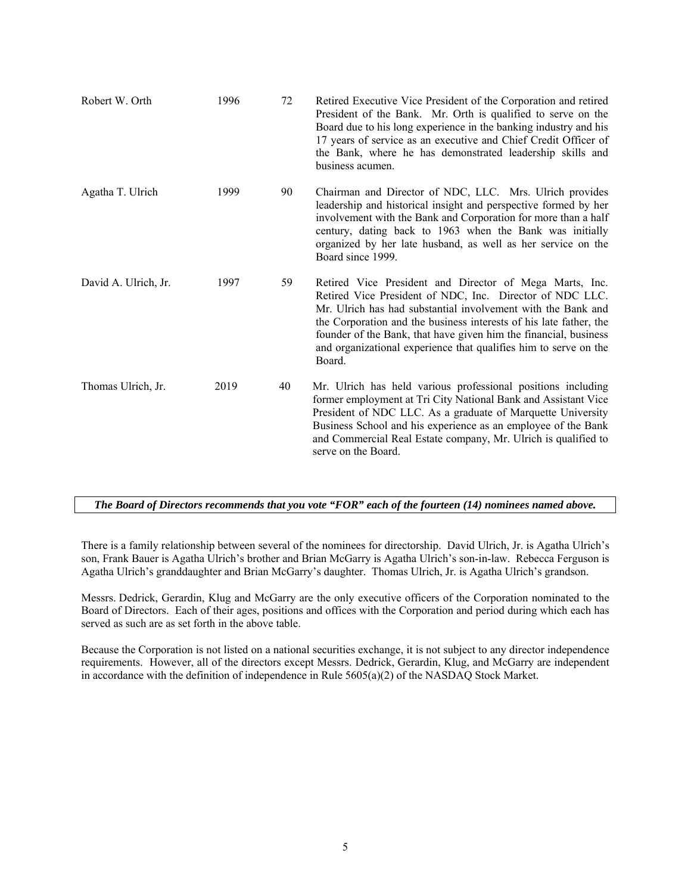| Robert W. Orth       | 1996 | 72 | Retired Executive Vice President of the Corporation and retired<br>President of the Bank. Mr. Orth is qualified to serve on the<br>Board due to his long experience in the banking industry and his<br>17 years of service as an executive and Chief Credit Officer of<br>the Bank, where he has demonstrated leadership skills and<br>business acumen.                                                     |
|----------------------|------|----|-------------------------------------------------------------------------------------------------------------------------------------------------------------------------------------------------------------------------------------------------------------------------------------------------------------------------------------------------------------------------------------------------------------|
| Agatha T. Ulrich     | 1999 | 90 | Chairman and Director of NDC, LLC. Mrs. Ulrich provides<br>leadership and historical insight and perspective formed by her<br>involvement with the Bank and Corporation for more than a half<br>century, dating back to 1963 when the Bank was initially<br>organized by her late husband, as well as her service on the<br>Board since 1999.                                                               |
| David A. Ulrich, Jr. | 1997 | 59 | Retired Vice President and Director of Mega Marts, Inc.<br>Retired Vice President of NDC, Inc. Director of NDC LLC.<br>Mr. Ulrich has had substantial involvement with the Bank and<br>the Corporation and the business interests of his late father, the<br>founder of the Bank, that have given him the financial, business<br>and organizational experience that qualifies him to serve on the<br>Board. |
| Thomas Ulrich, Jr.   | 2019 | 40 | Mr. Ulrich has held various professional positions including<br>former employment at Tri City National Bank and Assistant Vice<br>President of NDC LLC. As a graduate of Marquette University<br>Business School and his experience as an employee of the Bank<br>and Commercial Real Estate company, Mr. Ulrich is qualified to<br>serve on the Board.                                                     |

*The Board of Directors recommends that you vote "FOR" each of the fourteen (14) nominees named above.*

There is a family relationship between several of the nominees for directorship. David Ulrich, Jr. is Agatha Ulrich's son, Frank Bauer is Agatha Ulrich's brother and Brian McGarry is Agatha Ulrich's son-in-law. Rebecca Ferguson is Agatha Ulrich's granddaughter and Brian McGarry's daughter. Thomas Ulrich, Jr. is Agatha Ulrich's grandson.

Messrs. Dedrick, Gerardin, Klug and McGarry are the only executive officers of the Corporation nominated to the Board of Directors. Each of their ages, positions and offices with the Corporation and period during which each has served as such are as set forth in the above table.

Because the Corporation is not listed on a national securities exchange, it is not subject to any director independence requirements. However, all of the directors except Messrs. Dedrick, Gerardin, Klug, and McGarry are independent in accordance with the definition of independence in Rule 5605(a)(2) of the NASDAQ Stock Market.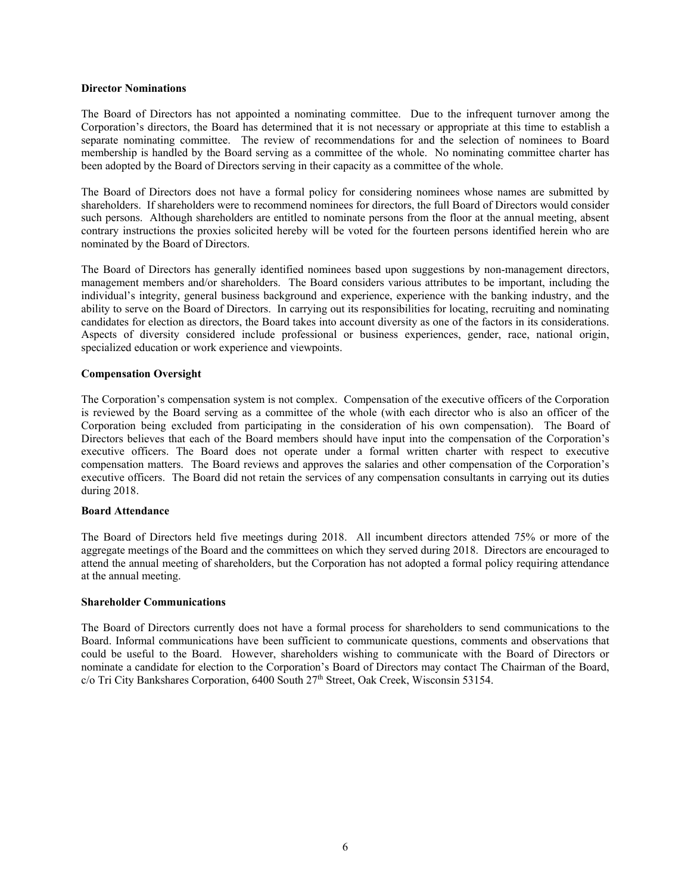#### **Director Nominations**

The Board of Directors has not appointed a nominating committee. Due to the infrequent turnover among the Corporation's directors, the Board has determined that it is not necessary or appropriate at this time to establish a separate nominating committee. The review of recommendations for and the selection of nominees to Board membership is handled by the Board serving as a committee of the whole. No nominating committee charter has been adopted by the Board of Directors serving in their capacity as a committee of the whole.

The Board of Directors does not have a formal policy for considering nominees whose names are submitted by shareholders. If shareholders were to recommend nominees for directors, the full Board of Directors would consider such persons. Although shareholders are entitled to nominate persons from the floor at the annual meeting, absent contrary instructions the proxies solicited hereby will be voted for the fourteen persons identified herein who are nominated by the Board of Directors.

The Board of Directors has generally identified nominees based upon suggestions by non-management directors, management members and/or shareholders. The Board considers various attributes to be important, including the individual's integrity, general business background and experience, experience with the banking industry, and the ability to serve on the Board of Directors. In carrying out its responsibilities for locating, recruiting and nominating candidates for election as directors, the Board takes into account diversity as one of the factors in its considerations. Aspects of diversity considered include professional or business experiences, gender, race, national origin, specialized education or work experience and viewpoints.

#### **Compensation Oversight**

The Corporation's compensation system is not complex. Compensation of the executive officers of the Corporation is reviewed by the Board serving as a committee of the whole (with each director who is also an officer of the Corporation being excluded from participating in the consideration of his own compensation). The Board of Directors believes that each of the Board members should have input into the compensation of the Corporation's executive officers. The Board does not operate under a formal written charter with respect to executive compensation matters. The Board reviews and approves the salaries and other compensation of the Corporation's executive officers. The Board did not retain the services of any compensation consultants in carrying out its duties during 2018.

## **Board Attendance**

The Board of Directors held five meetings during 2018. All incumbent directors attended 75% or more of the aggregate meetings of the Board and the committees on which they served during 2018. Directors are encouraged to attend the annual meeting of shareholders, but the Corporation has not adopted a formal policy requiring attendance at the annual meeting.

#### **Shareholder Communications**

The Board of Directors currently does not have a formal process for shareholders to send communications to the Board. Informal communications have been sufficient to communicate questions, comments and observations that could be useful to the Board. However, shareholders wishing to communicate with the Board of Directors or nominate a candidate for election to the Corporation's Board of Directors may contact The Chairman of the Board, c/o Tri City Bankshares Corporation, 6400 South 27<sup>th</sup> Street, Oak Creek, Wisconsin 53154.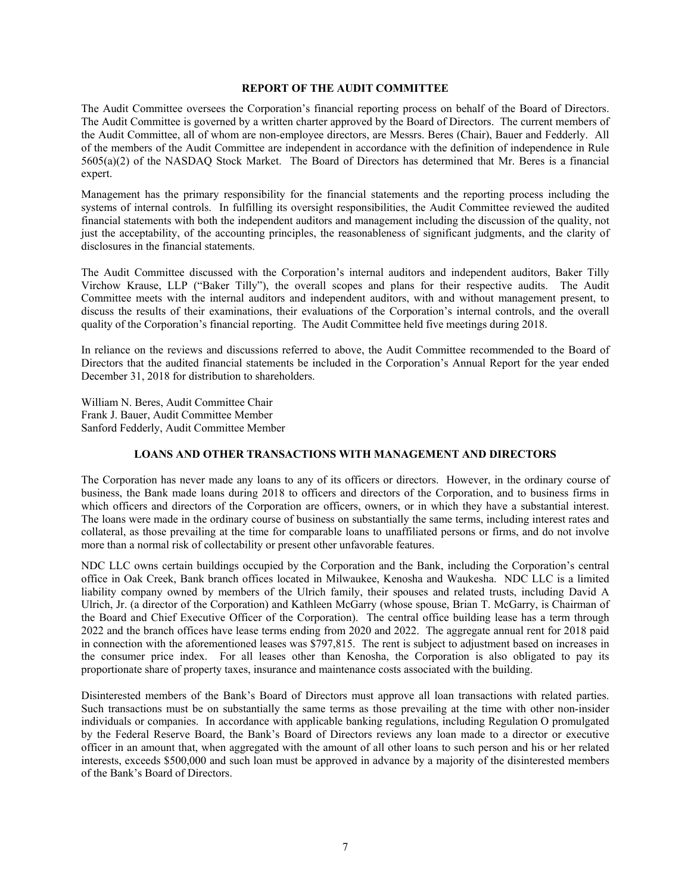#### **REPORT OF THE AUDIT COMMITTEE**

The Audit Committee oversees the Corporation's financial reporting process on behalf of the Board of Directors. The Audit Committee is governed by a written charter approved by the Board of Directors. The current members of the Audit Committee, all of whom are non-employee directors, are Messrs. Beres (Chair), Bauer and Fedderly. All of the members of the Audit Committee are independent in accordance with the definition of independence in Rule 5605(a)(2) of the NASDAQ Stock Market. The Board of Directors has determined that Mr. Beres is a financial expert.

Management has the primary responsibility for the financial statements and the reporting process including the systems of internal controls. In fulfilling its oversight responsibilities, the Audit Committee reviewed the audited financial statements with both the independent auditors and management including the discussion of the quality, not just the acceptability, of the accounting principles, the reasonableness of significant judgments, and the clarity of disclosures in the financial statements.

The Audit Committee discussed with the Corporation's internal auditors and independent auditors, Baker Tilly Virchow Krause, LLP ("Baker Tilly"), the overall scopes and plans for their respective audits. The Audit Committee meets with the internal auditors and independent auditors, with and without management present, to discuss the results of their examinations, their evaluations of the Corporation's internal controls, and the overall quality of the Corporation's financial reporting. The Audit Committee held five meetings during 2018.

In reliance on the reviews and discussions referred to above, the Audit Committee recommended to the Board of Directors that the audited financial statements be included in the Corporation's Annual Report for the year ended December 31, 2018 for distribution to shareholders.

William N. Beres, Audit Committee Chair Frank J. Bauer, Audit Committee Member Sanford Fedderly, Audit Committee Member

## **LOANS AND OTHER TRANSACTIONS WITH MANAGEMENT AND DIRECTORS**

The Corporation has never made any loans to any of its officers or directors. However, in the ordinary course of business, the Bank made loans during 2018 to officers and directors of the Corporation, and to business firms in which officers and directors of the Corporation are officers, owners, or in which they have a substantial interest. The loans were made in the ordinary course of business on substantially the same terms, including interest rates and collateral, as those prevailing at the time for comparable loans to unaffiliated persons or firms, and do not involve more than a normal risk of collectability or present other unfavorable features.

NDC LLC owns certain buildings occupied by the Corporation and the Bank, including the Corporation's central office in Oak Creek, Bank branch offices located in Milwaukee, Kenosha and Waukesha. NDC LLC is a limited liability company owned by members of the Ulrich family, their spouses and related trusts, including David A Ulrich, Jr. (a director of the Corporation) and Kathleen McGarry (whose spouse, Brian T. McGarry, is Chairman of the Board and Chief Executive Officer of the Corporation). The central office building lease has a term through 2022 and the branch offices have lease terms ending from 2020 and 2022. The aggregate annual rent for 2018 paid in connection with the aforementioned leases was \$797,815. The rent is subject to adjustment based on increases in the consumer price index. For all leases other than Kenosha, the Corporation is also obligated to pay its proportionate share of property taxes, insurance and maintenance costs associated with the building.

Disinterested members of the Bank's Board of Directors must approve all loan transactions with related parties. Such transactions must be on substantially the same terms as those prevailing at the time with other non-insider individuals or companies. In accordance with applicable banking regulations, including Regulation O promulgated by the Federal Reserve Board, the Bank's Board of Directors reviews any loan made to a director or executive officer in an amount that, when aggregated with the amount of all other loans to such person and his or her related interests, exceeds \$500,000 and such loan must be approved in advance by a majority of the disinterested members of the Bank's Board of Directors.